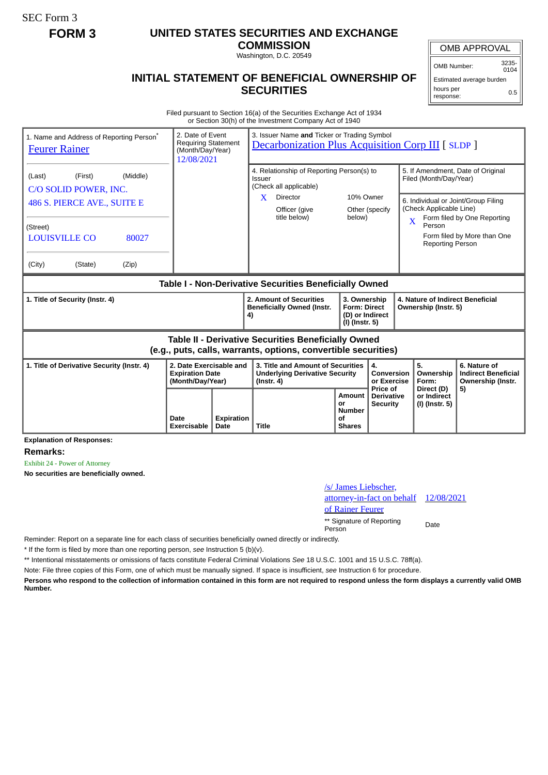SEC Form 3

# **FORM 3 UNITED STATES SECURITIES AND EXCHANGE**

**COMMISSION**

Washington, D.C. 20549

## **INITIAL STATEMENT OF BENEFICIAL OWNERSHIP OF SECURITIES**

OMB APPROVAL OMB Number: 3235-  $0104$ 

Estimated average burden hours per response: 0.5

Filed pursuant to Section 16(a) of the Securities Exchange Act of 1934 or Section 30(h) of the Investment Company Act of 1940

| 1. Name and Address of Reporting Person <sup>®</sup><br><b>Feurer Rainer</b>                                                 | 2. Date of Event<br><b>Requiring Statement</b><br>(Month/Day/Year)<br>12/08/2021 |                    | 3. Issuer Name and Ticker or Trading Symbol<br><b>Decarbonization Plus Acquisition Corp III</b> [ SLDP ]    |                                                                            |                                             |                                                                                                    |                                                                       |
|------------------------------------------------------------------------------------------------------------------------------|----------------------------------------------------------------------------------|--------------------|-------------------------------------------------------------------------------------------------------------|----------------------------------------------------------------------------|---------------------------------------------|----------------------------------------------------------------------------------------------------|-----------------------------------------------------------------------|
| (Middle)<br>(First)<br>(Last)<br>C/O SOLID POWER, INC.                                                                       |                                                                                  |                    | 4. Relationship of Reporting Person(s) to<br>Issuer<br>(Check all applicable)<br>10% Owner<br>Director<br>X |                                                                            |                                             | 5. If Amendment, Date of Original<br>Filed (Month/Day/Year)<br>6. Individual or Joint/Group Filing |                                                                       |
| 486 S. PIERCE AVE., SUITE E<br>(Street)<br><b>LOUISVILLE CO</b><br>80027                                                     |                                                                                  |                    | Officer (give<br>title below)                                                                               | below)                                                                     | Other (specify                              | (Check Applicable Line)<br>$\mathbf{X}$<br>Person<br><b>Reporting Person</b>                       | Form filed by One Reporting<br>Form filed by More than One            |
| (City)<br>(State)<br>(Zip)                                                                                                   |                                                                                  |                    |                                                                                                             |                                                                            |                                             |                                                                                                    |                                                                       |
| Table I - Non-Derivative Securities Beneficially Owned                                                                       |                                                                                  |                    |                                                                                                             |                                                                            |                                             |                                                                                                    |                                                                       |
| 1. Title of Security (Instr. 4)                                                                                              |                                                                                  |                    | 2. Amount of Securities<br><b>Beneficially Owned (Instr.</b><br>4)                                          | 3. Ownership<br><b>Form: Direct</b><br>(D) or Indirect<br>$(I)$ (Instr. 5) |                                             | 4. Nature of Indirect Beneficial<br>Ownership (Instr. 5)                                           |                                                                       |
| <b>Table II - Derivative Securities Beneficially Owned</b><br>(e.g., puts, calls, warrants, options, convertible securities) |                                                                                  |                    |                                                                                                             |                                                                            |                                             |                                                                                                    |                                                                       |
| 2. Date Exercisable and<br>1. Title of Derivative Security (Instr. 4)<br><b>Expiration Date</b><br>(Month/Day/Year)          |                                                                                  |                    | 3. Title and Amount of Securities<br><b>Underlying Derivative Security</b><br>$($ lnstr. 4 $)$              |                                                                            | 4.<br>Conversion<br>or Exercise<br>Price of | 5.<br>Ownership<br>Form:                                                                           | 6. Nature of<br><b>Indirect Beneficial</b><br>Ownership (Instr.<br>5) |
|                                                                                                                              | Date<br>Exercisable                                                              | Expiration<br>Date | <b>Title</b>                                                                                                | <b>Amount</b><br>or<br><b>Number</b><br>Ωf<br><b>Shares</b>                | <b>Derivative</b><br><b>Security</b>        | Direct (D)<br>or Indirect<br>(I) (Instr. 5)                                                        |                                                                       |

#### **Explanation of Responses:**

**Remarks:**

Exhibit 24 - Power of Attorney

**No securities are beneficially owned.**

## /s/ James Liebscher, attorney-in-fact on behalf of Rainer Feurer 12/08/2021 \*\* Signature of Reporting Person Date

Reminder: Report on a separate line for each class of securities beneficially owned directly or indirectly.

\* If the form is filed by more than one reporting person, *see* Instruction 5 (b)(v).

\*\* Intentional misstatements or omissions of facts constitute Federal Criminal Violations *See* 18 U.S.C. 1001 and 15 U.S.C. 78ff(a).

Note: File three copies of this Form, one of which must be manually signed. If space is insufficient, *see* Instruction 6 for procedure.

**Persons who respond to the collection of information contained in this form are not required to respond unless the form displays a currently valid OMB Number.**